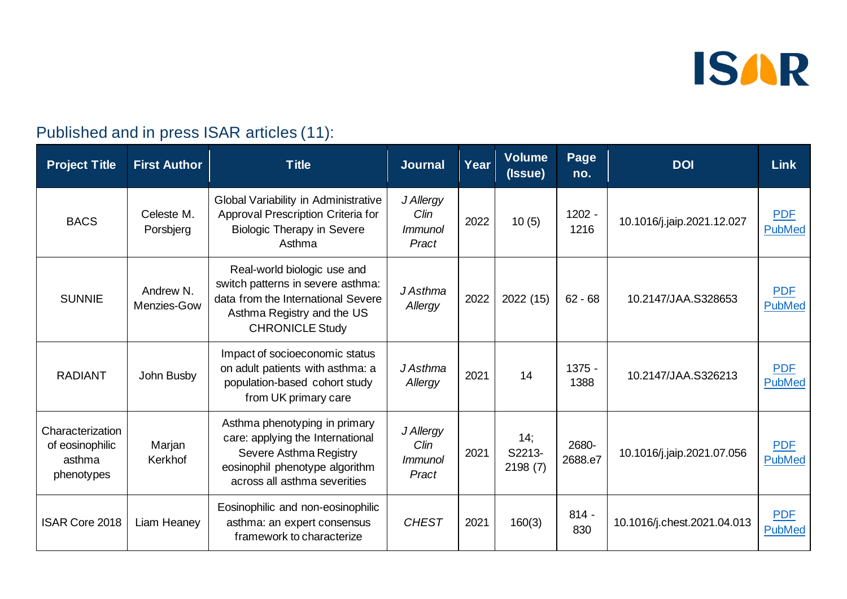

#### Published and in press ISAR articles (11):

| <b>Project Title</b>                                        | <b>First Author</b>      | <b>Title</b>                                                                                                                                                   | <b>Journal</b>                               | Year | <b>Volume</b><br>(Issue) | Page<br>no.      | <b>DOI</b>                  | <b>Link</b>                 |
|-------------------------------------------------------------|--------------------------|----------------------------------------------------------------------------------------------------------------------------------------------------------------|----------------------------------------------|------|--------------------------|------------------|-----------------------------|-----------------------------|
| <b>BACS</b>                                                 | Celeste M.<br>Porsbjerg  | Global Variability in Administrative<br>Approval Prescription Criteria for<br><b>Biologic Therapy in Severe</b><br>Asthma                                      | J Allergy<br>Clin<br><i>Immunol</i><br>Pract | 2022 | 10(5)                    | $1202 -$<br>1216 | 10.1016/j.jaip.2021.12.027  | <b>PDF</b><br><b>PubMed</b> |
| <b>SUNNIE</b>                                               | Andrew N.<br>Menzies-Gow | Real-world biologic use and<br>switch patterns in severe asthma:<br>data from the International Severe<br>Asthma Registry and the US<br><b>CHRONICLE Study</b> | J Asthma<br>Allergy                          | 2022 | 2022 (15)                | $62 - 68$        | 10.2147/JAA.S328653         | <b>PDF</b><br><b>PubMed</b> |
| <b>RADIANT</b>                                              | John Busby               | Impact of socioeconomic status<br>on adult patients with asthma: a<br>population-based cohort study<br>from UK primary care                                    | J Asthma<br>Allergy                          | 2021 | 14                       | $1375 -$<br>1388 | 10.2147/JAA.S326213         | <b>PDF</b><br><b>PubMed</b> |
| Characterization<br>of eosinophilic<br>asthma<br>phenotypes | Marjan<br>Kerkhof        | Asthma phenotyping in primary<br>care: applying the International<br>Severe Asthma Registry<br>eosinophil phenotype algorithm<br>across all asthma severities  | J Allergy<br>Clin<br><i>Immunol</i><br>Pract | 2021 | 14;<br>S2213-<br>2198(7) | 2680-<br>2688.e7 | 10.1016/j.jaip.2021.07.056  | <b>PDF</b><br><b>PubMed</b> |
| <b>ISAR Core 2018</b>                                       | Liam Heaney              | Eosinophilic and non-eosinophilic<br>asthma: an expert consensus<br>framework to characterize                                                                  | <b>CHEST</b>                                 | 2021 | 160(3)                   | $814 -$<br>830   | 10.1016/j.chest.2021.04.013 | <b>PDF</b><br><b>PubMed</b> |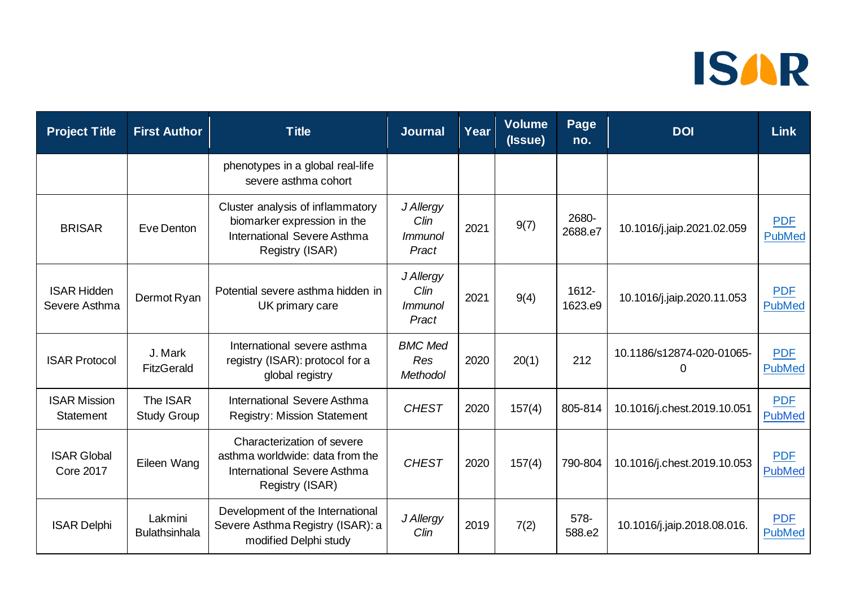| <b>Project Title</b>                    | <b>First Author</b>             | <b>Title</b>                                                                                                      | <b>Journal</b>                                  | Year | <b>Volume</b><br>(Issue) | Page<br>no.      | <b>DOI</b>                            | <b>Link</b>                 |
|-----------------------------------------|---------------------------------|-------------------------------------------------------------------------------------------------------------------|-------------------------------------------------|------|--------------------------|------------------|---------------------------------------|-----------------------------|
|                                         |                                 | phenotypes in a global real-life<br>severe asthma cohort                                                          |                                                 |      |                          |                  |                                       |                             |
| <b>BRISAR</b>                           | Eve Denton                      | Cluster analysis of inflammatory<br>biomarker expression in the<br>International Severe Asthma<br>Registry (ISAR) | J Allergy<br>Clin<br><i>Immunol</i><br>Pract    | 2021 | 9(7)                     | 2680-<br>2688.e7 | 10.1016/j.jaip.2021.02.059            | <b>PDF</b><br><b>PubMed</b> |
| <b>ISAR Hidden</b><br>Severe Asthma     | Dermot Ryan                     | Potential severe asthma hidden in<br>UK primary care                                                              | J Allergy<br>Clin<br><i>Immunol</i><br>Pract    | 2021 | 9(4)                     | 1612-<br>1623.e9 | 10.1016/j.jaip.2020.11.053            | <b>PDF</b><br><b>PubMed</b> |
| <b>ISAR Protocol</b>                    | J. Mark<br><b>FitzGerald</b>    | International severe asthma<br>registry (ISAR): protocol for a<br>global registry                                 | <b>BMC Med</b><br><b>Res</b><br><b>Methodol</b> | 2020 | 20(1)                    | 212              | 10.1186/s12874-020-01065-<br>$\Omega$ | <b>PDF</b><br><b>PubMed</b> |
| <b>ISAR Mission</b><br><b>Statement</b> | The ISAR<br><b>Study Group</b>  | International Severe Asthma<br><b>Registry: Mission Statement</b>                                                 | <b>CHEST</b>                                    | 2020 | 157(4)                   | 805-814          | 10.1016/j.chest.2019.10.051           | <b>PDF</b><br><b>PubMed</b> |
| <b>ISAR Global</b><br><b>Core 2017</b>  | Eileen Wang                     | Characterization of severe<br>asthma worldwide: data from the<br>International Severe Asthma<br>Registry (ISAR)   | <b>CHEST</b>                                    | 2020 | 157(4)                   | 790-804          | 10.1016/j.chest.2019.10.053           | <b>PDF</b><br><b>PubMed</b> |
| <b>ISAR Delphi</b>                      | Lakmini<br><b>Bulathsinhala</b> | Development of the International<br>Severe Asthma Registry (ISAR): a<br>modified Delphi study                     | J Allergy<br>Clin                               | 2019 | 7(2)                     | 578-<br>588.e2   | 10.1016/j.jaip.2018.08.016.           | <b>PDF</b><br><b>PubMed</b> |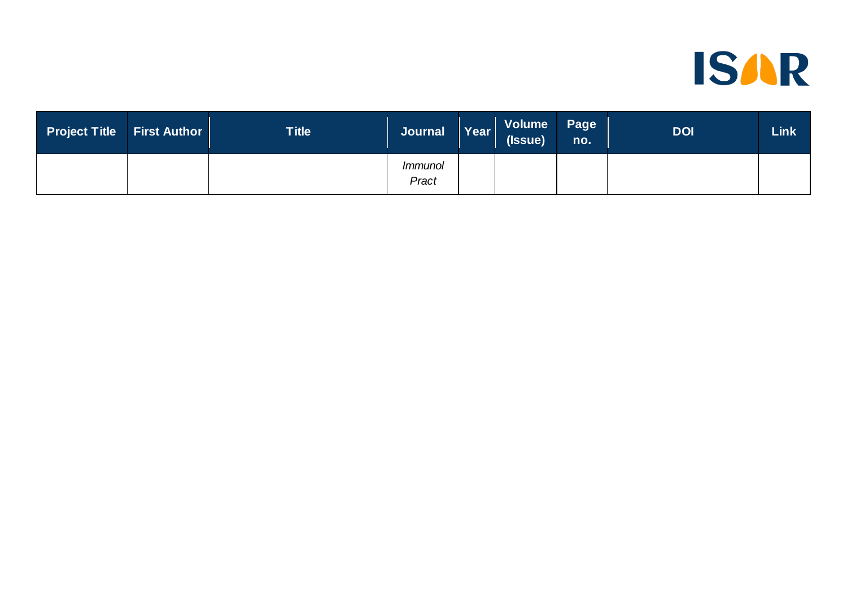

| <b>Project Title</b> | <b>First Author</b> | Title | <b>Journal</b>          | Year | Volume<br>(Issue) | Page<br>no. | <b>DOI</b> | <b>Link</b> |
|----------------------|---------------------|-------|-------------------------|------|-------------------|-------------|------------|-------------|
|                      |                     |       | <i>Immunol</i><br>Pract |      |                   |             |            |             |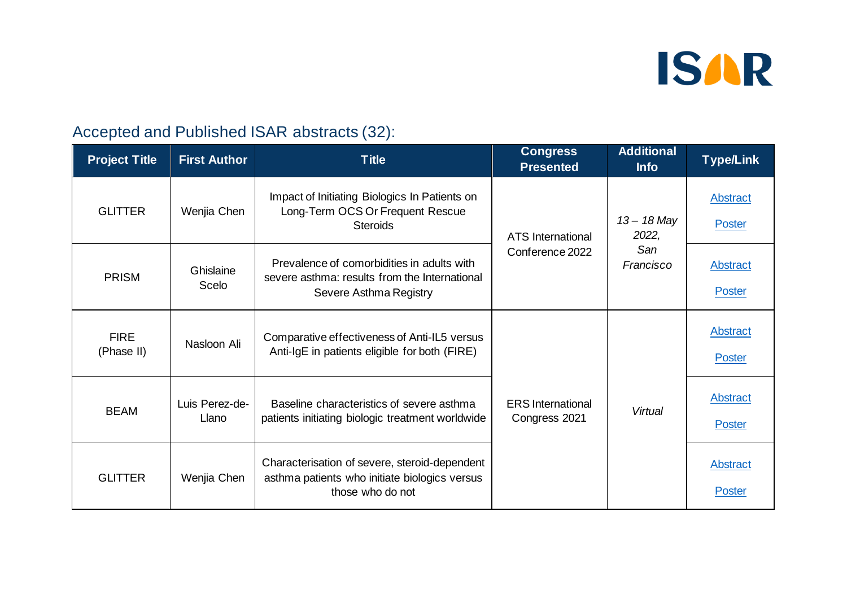

#### Accepted and Published ISAR abstracts (32):

| <b>Project Title</b>      | <b>First Author</b>     | <b>Title</b>                                                                                                          | <b>Congress</b><br><b>Presented</b>       | <b>Additional</b><br><b>Info</b> | <b>Type/Link</b>                 |
|---------------------------|-------------------------|-----------------------------------------------------------------------------------------------------------------------|-------------------------------------------|----------------------------------|----------------------------------|
| <b>GLITTER</b>            | Wenjia Chen             | Impact of Initiating Biologics In Patients on<br>Long-Term OCS Or Frequent Rescue<br><b>Steroids</b>                  | <b>ATS</b> International                  | $13 - 18$ May<br>2022,           | Abstract<br><b>Poster</b>        |
| <b>PRISM</b>              | Ghislaine<br>Scelo      | Prevalence of comorbidities in adults with<br>severe asthma: results from the International<br>Severe Asthma Registry | Conference 2022                           | San<br>Francisco                 | <b>Abstract</b><br><b>Poster</b> |
| <b>FIRE</b><br>(Phase II) | Nasloon Ali             | Comparative effectiveness of Anti-IL5 versus<br>Anti-IgE in patients eligible for both (FIRE)                         |                                           |                                  |                                  |
| <b>BEAM</b>               | Luis Perez-de-<br>Llano | Baseline characteristics of severe asthma<br>patients initiating biologic treatment worldwide                         | <b>ERS</b> International<br>Congress 2021 | Virtual                          | <b>Abstract</b><br>Poster        |
| <b>GLITTER</b>            | Wenjia Chen             | Characterisation of severe, steroid-dependent<br>asthma patients who initiate biologics versus<br>those who do not    |                                           |                                  | <b>Abstract</b><br><b>Poster</b> |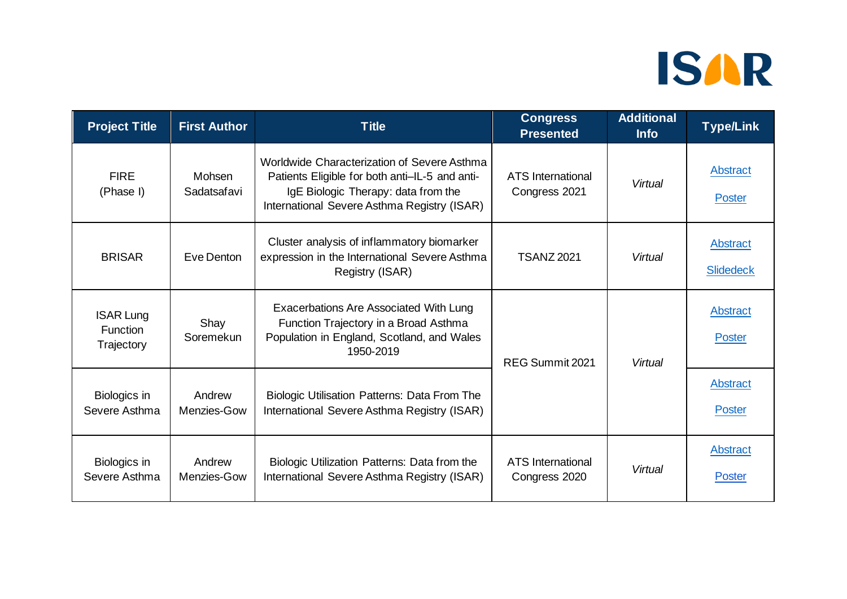| <b>Project Title</b>                              | <b>First Author</b>   | <b>Title</b>                                                                                                                                                                        | <b>Congress</b><br><b>Presented</b>       | <b>Additional</b><br><b>Info</b> | <b>Type/Link</b>                 |                    |
|---------------------------------------------------|-----------------------|-------------------------------------------------------------------------------------------------------------------------------------------------------------------------------------|-------------------------------------------|----------------------------------|----------------------------------|--------------------|
| <b>FIRE</b><br>(Phase I)                          | Mohsen<br>Sadatsafavi | Worldwide Characterization of Severe Asthma<br>Patients Eligible for both anti-IL-5 and anti-<br>IgE Biologic Therapy: data from the<br>International Severe Asthma Registry (ISAR) | <b>ATS</b> International<br>Congress 2021 | Virtual                          | Abstract<br>Poster               |                    |
| <b>BRISAR</b>                                     | Eve Denton            | Cluster analysis of inflammatory biomarker<br>expression in the International Severe Asthma<br>Registry (ISAR)                                                                      | <b>TSANZ 2021</b>                         | Virtual                          | Abstract<br><b>Slidedeck</b>     |                    |
| <b>ISAR Lung</b><br><b>Function</b><br>Trajectory | Shay<br>Soremekun     | Exacerbations Are Associated With Lung<br>Function Trajectory in a Broad Asthma<br>Population in England, Scotland, and Wales<br>1950-2019                                          | REG Summit 2021                           |                                  | Virtual                          | Abstract<br>Poster |
| Biologics in<br>Severe Asthma                     | Andrew<br>Menzies-Gow | <b>Biologic Utilisation Patterns: Data From The</b><br>International Severe Asthma Registry (ISAR)                                                                                  |                                           |                                  | Abstract<br><b>Poster</b>        |                    |
| Biologics in<br>Severe Asthma                     | Andrew<br>Menzies-Gow | Biologic Utilization Patterns: Data from the<br>International Severe Asthma Registry (ISAR)                                                                                         | <b>ATS</b> International<br>Congress 2020 | Virtual                          | <b>Abstract</b><br><b>Poster</b> |                    |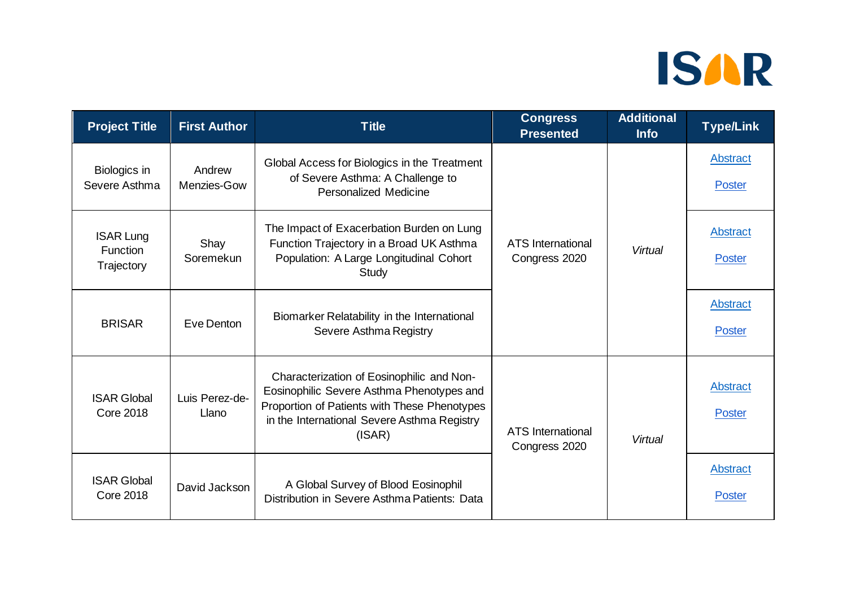| <b>Project Title</b>                              | <b>First Author</b>     | <b>Title</b>                                                                                                                                                                                    | <b>Congress</b><br><b>Presented</b>       | <b>Additional</b><br><b>Info</b> | <b>Type/Link</b>                 |
|---------------------------------------------------|-------------------------|-------------------------------------------------------------------------------------------------------------------------------------------------------------------------------------------------|-------------------------------------------|----------------------------------|----------------------------------|
| Biologics in<br>Severe Asthma                     | Andrew<br>Menzies-Gow   | Global Access for Biologics in the Treatment<br>of Severe Asthma: A Challenge to<br><b>Personalized Medicine</b>                                                                                | <b>ATS</b> International<br>Congress 2020 |                                  | Abstract<br><b>Poster</b>        |
| <b>ISAR Lung</b><br><b>Function</b><br>Trajectory | Shay<br>Soremekun       | The Impact of Exacerbation Burden on Lung<br>Function Trajectory in a Broad UK Asthma<br>Population: A Large Longitudinal Cohort<br>Study                                                       |                                           | Virtual                          |                                  |
| <b>BRISAR</b>                                     | Eve Denton              | Biomarker Relatability in the International<br>Severe Asthma Registry                                                                                                                           |                                           |                                  | Abstract<br><b>Poster</b>        |
| <b>ISAR Global</b><br><b>Core 2018</b>            | Luis Perez-de-<br>Llano | Characterization of Eosinophilic and Non-<br>Eosinophilic Severe Asthma Phenotypes and<br>Proportion of Patients with These Phenotypes<br>in the International Severe Asthma Registry<br>(ISAR) | <b>ATS</b> International<br>Congress 2020 | Virtual                          | <b>Abstract</b><br><b>Poster</b> |
| <b>ISAR Global</b><br><b>Core 2018</b>            | David Jackson           | A Global Survey of Blood Eosinophil<br>Distribution in Severe Asthma Patients: Data                                                                                                             |                                           |                                  | Abstract<br><b>Poster</b>        |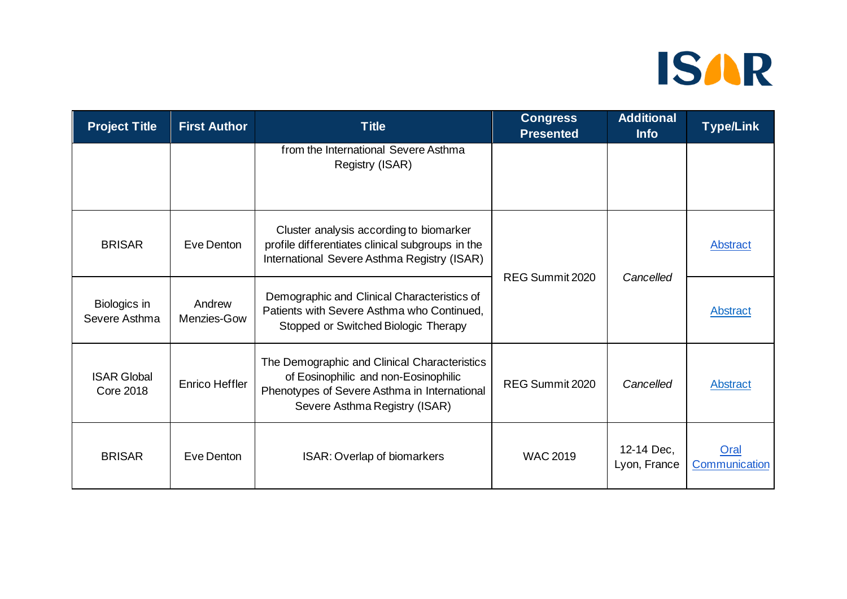| <b>Project Title</b>                   | <b>First Author</b>   | <b>Title</b>                                                                                                                                                          | <b>Congress</b><br><b>Presented</b> | <b>Additional</b><br><b>Info</b> | <b>Type/Link</b>      |
|----------------------------------------|-----------------------|-----------------------------------------------------------------------------------------------------------------------------------------------------------------------|-------------------------------------|----------------------------------|-----------------------|
|                                        |                       | from the International Severe Asthma<br>Registry (ISAR)                                                                                                               |                                     |                                  |                       |
| <b>BRISAR</b>                          | Eve Denton            | Cluster analysis according to biomarker<br>profile differentiates clinical subgroups in the<br>International Severe Asthma Registry (ISAR)                            | REG Summit 2020                     | Cancelled                        | <b>Abstract</b>       |
| Biologics in<br>Severe Asthma          | Andrew<br>Menzies-Gow | Demographic and Clinical Characteristics of<br>Patients with Severe Asthma who Continued,<br>Stopped or Switched Biologic Therapy                                     |                                     |                                  | Abstract              |
| <b>ISAR Global</b><br><b>Core 2018</b> | <b>Enrico Heffler</b> | The Demographic and Clinical Characteristics<br>of Eosinophilic and non-Eosinophilic<br>Phenotypes of Severe Asthma in International<br>Severe Asthma Registry (ISAR) | REG Summit 2020                     | Cancelled                        | <b>Abstract</b>       |
| <b>BRISAR</b>                          | Eve Denton            | ISAR: Overlap of biomarkers                                                                                                                                           | <b>WAC 2019</b>                     | 12-14 Dec.<br>Lyon, France       | Oral<br>Communication |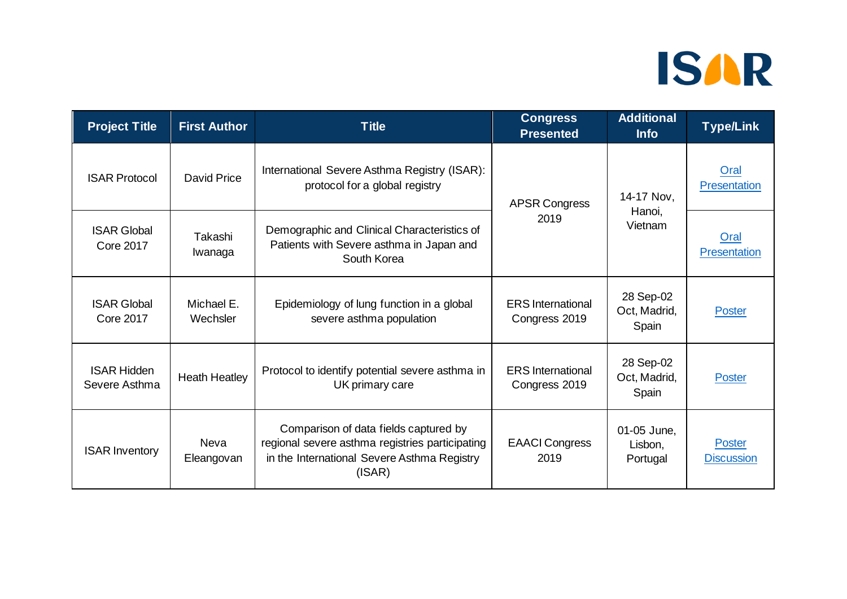| <b>Project Title</b>                   | <b>First Author</b>       | <b>Title</b>                                                                                                                                      | <b>Congress</b><br><b>Presented</b>       | <b>Additional</b><br><b>Info</b>   | <b>Type/Link</b>                   |
|----------------------------------------|---------------------------|---------------------------------------------------------------------------------------------------------------------------------------------------|-------------------------------------------|------------------------------------|------------------------------------|
| <b>ISAR Protocol</b>                   | David Price               | International Severe Asthma Registry (ISAR):<br>protocol for a global registry                                                                    | <b>APSR Congress</b>                      | 14-17 Nov,                         | Oral<br>Presentation               |
| <b>ISAR Global</b><br><b>Core 2017</b> | Takashi<br>Iwanaga        | Demographic and Clinical Characteristics of<br>Patients with Severe asthma in Japan and<br>South Korea                                            | 2019                                      | Hanoi,<br>Vietnam                  | Oral<br>Presentation               |
| <b>ISAR Global</b><br><b>Core 2017</b> | Michael E.<br>Wechsler    | Epidemiology of lung function in a global<br>severe asthma population                                                                             | <b>ERS</b> International<br>Congress 2019 | 28 Sep-02<br>Oct, Madrid,<br>Spain | <b>Poster</b>                      |
| <b>ISAR Hidden</b><br>Severe Asthma    | <b>Heath Heatley</b>      | Protocol to identify potential severe asthma in<br>UK primary care                                                                                | <b>ERS</b> International<br>Congress 2019 | 28 Sep-02<br>Oct, Madrid,<br>Spain | <b>Poster</b>                      |
| <b>ISAR Inventory</b>                  | <b>Neva</b><br>Eleangovan | Comparison of data fields captured by<br>regional severe asthma registries participating<br>in the International Severe Asthma Registry<br>(ISAR) | <b>EAACI Congress</b><br>2019             | 01-05 June,<br>Lisbon,<br>Portugal | <b>Poster</b><br><b>Discussion</b> |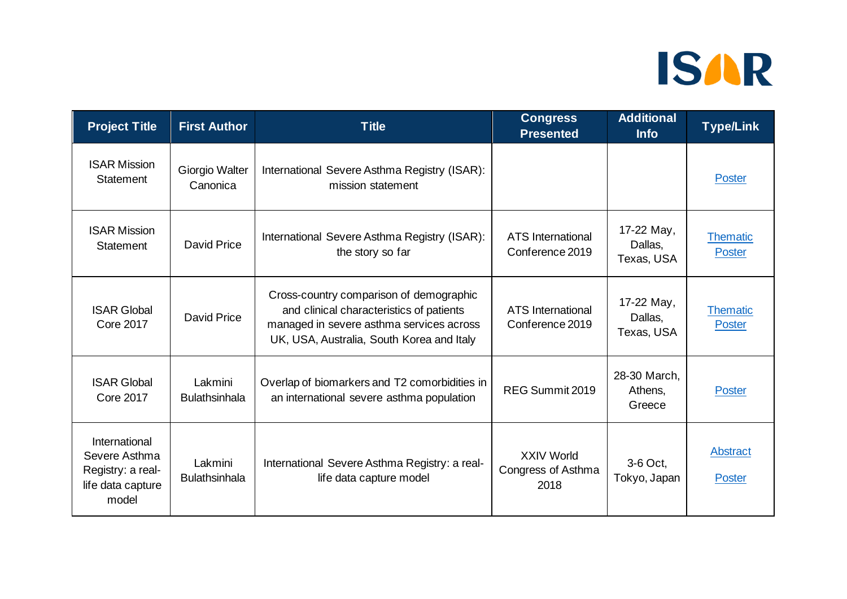| <b>Project Title</b>                                                              | <b>First Author</b>             | <b>Title</b>                                                                                                                                                                 | <b>Congress</b><br><b>Presented</b>             | <b>Additional</b><br><b>Info</b>    | <b>Type/Link</b>                 |
|-----------------------------------------------------------------------------------|---------------------------------|------------------------------------------------------------------------------------------------------------------------------------------------------------------------------|-------------------------------------------------|-------------------------------------|----------------------------------|
| <b>ISAR Mission</b><br><b>Statement</b>                                           | Giorgio Walter<br>Canonica      | International Severe Asthma Registry (ISAR):<br>mission statement                                                                                                            |                                                 |                                     | Poster                           |
| <b>ISAR Mission</b><br>Statement                                                  | <b>David Price</b>              | International Severe Asthma Registry (ISAR):<br>the story so far                                                                                                             | <b>ATS</b> International<br>Conference 2019     | 17-22 May,<br>Dallas,<br>Texas, USA | <b>Thematic</b><br><b>Poster</b> |
| <b>ISAR Global</b><br><b>Core 2017</b>                                            | David Price                     | Cross-country comparison of demographic<br>and clinical characteristics of patients<br>managed in severe asthma services across<br>UK, USA, Australia, South Korea and Italy | <b>ATS</b> International<br>Conference 2019     | 17-22 May,<br>Dallas,<br>Texas, USA | <b>Thematic</b><br><b>Poster</b> |
| <b>ISAR Global</b><br><b>Core 2017</b>                                            | Lakmini<br><b>Bulathsinhala</b> | Overlap of biomarkers and T2 comorbidities in<br>an international severe asthma population                                                                                   | REG Summit 2019                                 | 28-30 March,<br>Athens,<br>Greece   | <b>Poster</b>                    |
| International<br>Severe Asthma<br>Registry: a real-<br>life data capture<br>model | Lakmini<br><b>Bulathsinhala</b> | International Severe Asthma Registry: a real-<br>life data capture model                                                                                                     | <b>XXIV World</b><br>Congress of Asthma<br>2018 | 3-6 Oct,<br>Tokyo, Japan            | Abstract<br><b>Poster</b>        |